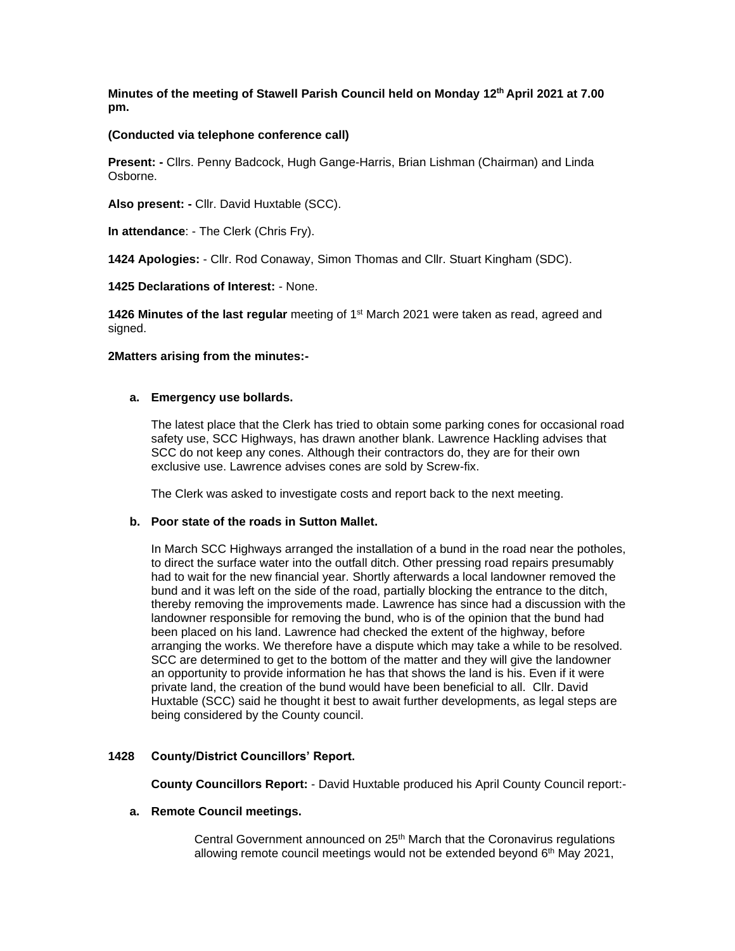**Minutes of the meeting of Stawell Parish Council held on Monday 12th April 2021 at 7.00 pm.**

#### **(Conducted via telephone conference call)**

**Present: -** Cllrs. Penny Badcock, Hugh Gange-Harris, Brian Lishman (Chairman) and Linda Osborne.

**Also present: -** Cllr. David Huxtable (SCC).

**In attendance**: - The Clerk (Chris Fry).

**1424 Apologies:** - Cllr. Rod Conaway, Simon Thomas and Cllr. Stuart Kingham (SDC).

**1425 Declarations of Interest:** - None.

1426 Minutes of the last regular meeting of 1<sup>st</sup> March 2021 were taken as read, agreed and signed.

#### **2Matters arising from the minutes:-**

#### **a. Emergency use bollards.**

The latest place that the Clerk has tried to obtain some parking cones for occasional road safety use, SCC Highways, has drawn another blank. Lawrence Hackling advises that SCC do not keep any cones. Although their contractors do, they are for their own exclusive use. Lawrence advises cones are sold by Screw-fix.

The Clerk was asked to investigate costs and report back to the next meeting.

# **b. Poor state of the roads in Sutton Mallet.**

In March SCC Highways arranged the installation of a bund in the road near the potholes, to direct the surface water into the outfall ditch. Other pressing road repairs presumably had to wait for the new financial year. Shortly afterwards a local landowner removed the bund and it was left on the side of the road, partially blocking the entrance to the ditch, thereby removing the improvements made. Lawrence has since had a discussion with the landowner responsible for removing the bund, who is of the opinion that the bund had been placed on his land. Lawrence had checked the extent of the highway, before arranging the works. We therefore have a dispute which may take a while to be resolved. SCC are determined to get to the bottom of the matter and they will give the landowner an opportunity to provide information he has that shows the land is his. Even if it were private land, the creation of the bund would have been beneficial to all. Cllr. David Huxtable (SCC) said he thought it best to await further developments, as legal steps are being considered by the County council.

# **1428 County/District Councillors' Report.**

 **County Councillors Report:** - David Huxtable produced his April County Council report:-

#### **a. Remote Council meetings.**

Central Government announced on 25<sup>th</sup> March that the Coronavirus regulations allowing remote council meetings would not be extended beyond 6<sup>th</sup> May 2021,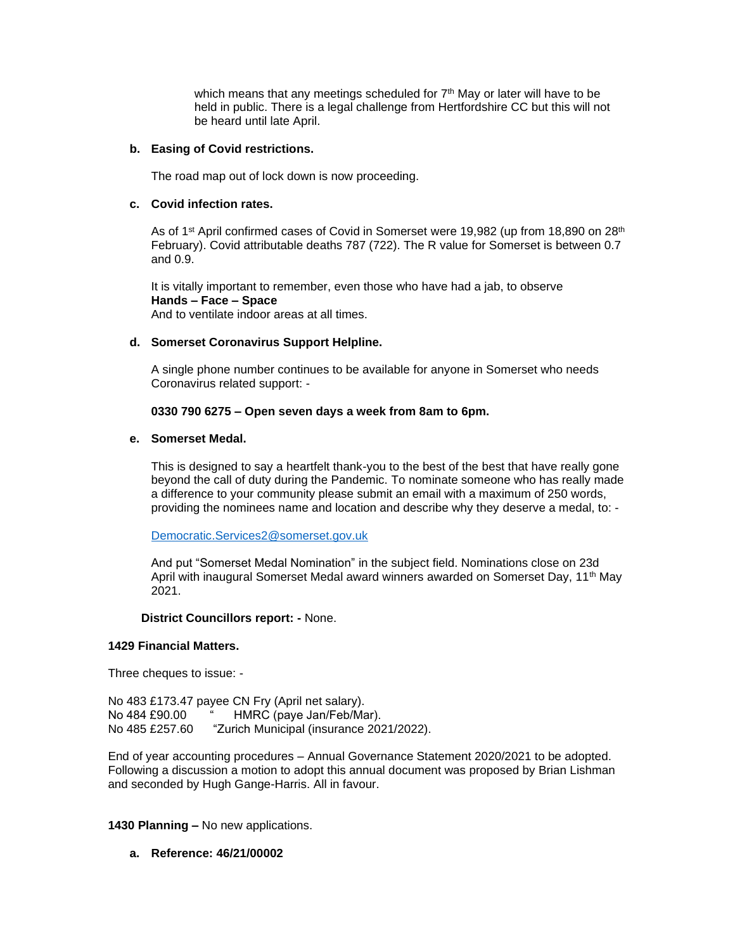which means that any meetings scheduled for  $7<sup>th</sup>$  May or later will have to be held in public. There is a legal challenge from Hertfordshire CC but this will not be heard until late April.

#### **b. Easing of Covid restrictions.**

The road map out of lock down is now proceeding.

#### **c. Covid infection rates.**

As of 1<sup>st</sup> April confirmed cases of Covid in Somerset were 19,982 (up from 18,890 on 28<sup>th</sup> February). Covid attributable deaths 787 (722). The R value for Somerset is between 0.7 and 0.9.

It is vitally important to remember, even those who have had a jab, to observe **Hands – Face – Space** And to ventilate indoor areas at all times.

#### **d. Somerset Coronavirus Support Helpline.**

A single phone number continues to be available for anyone in Somerset who needs Coronavirus related support: -

#### **0330 790 6275 – Open seven days a week from 8am to 6pm.**

#### **e. Somerset Medal.**

This is designed to say a heartfelt thank-you to the best of the best that have really gone beyond the call of duty during the Pandemic. To nominate someone who has really made a difference to your community please submit an email with a maximum of 250 words, providing the nominees name and location and describe why they deserve a medal, to: -

[Democratic.Services2@somerset.gov.uk](mailto:Democratic.Services2@somerset.gov.uk)

And put "Somerset Medal Nomination" in the subject field. Nominations close on 23d April with inaugural Somerset Medal award winners awarded on Somerset Day, 11<sup>th</sup> May 2021.

# **District Councillors report: -** None.

#### **1429 Financial Matters.**

Three cheques to issue: -

No 483 £173.47 payee CN Fry (April net salary). No 484 £90.00 " HMRC (paye Jan/Feb/Mar). No 485 £257.60 "Zurich Municipal (insurance 2021/2022).

End of year accounting procedures – Annual Governance Statement 2020/2021 to be adopted. Following a discussion a motion to adopt this annual document was proposed by Brian Lishman and seconded by Hugh Gange-Harris. All in favour.

# **1430 Planning –** No new applications.

# **a. Reference: 46/21/00002**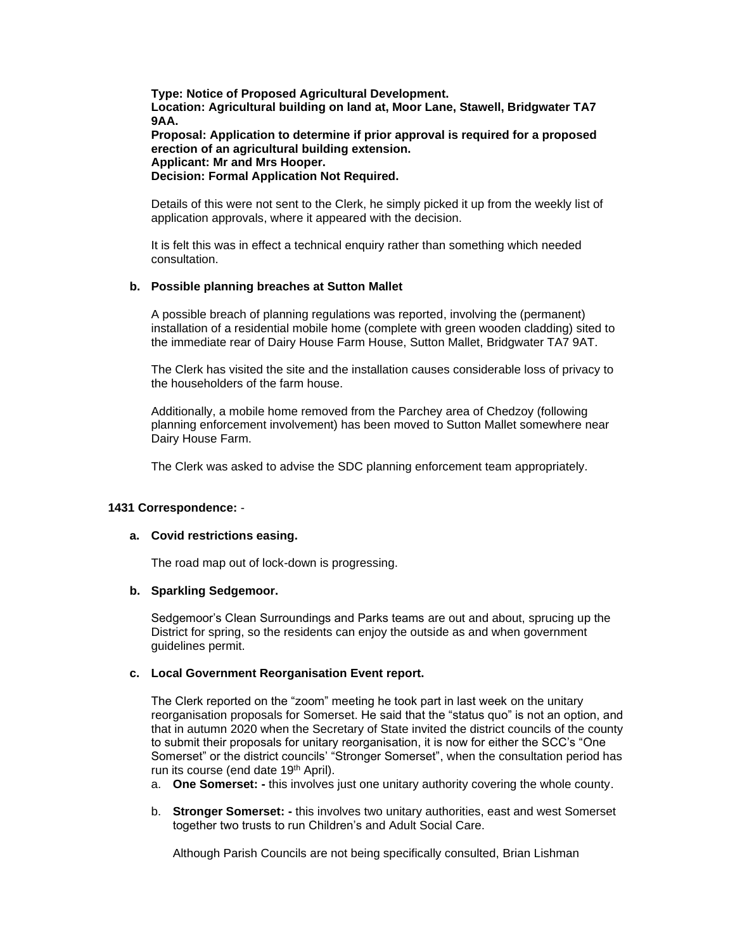**Type: Notice of Proposed Agricultural Development. Location: Agricultural building on land at, Moor Lane, Stawell, Bridgwater TA7 9AA.**

**Proposal: Application to determine if prior approval is required for a proposed erection of an agricultural building extension. Applicant: Mr and Mrs Hooper. Decision: Formal Application Not Required.**

Details of this were not sent to the Clerk, he simply picked it up from the weekly list of application approvals, where it appeared with the decision.

It is felt this was in effect a technical enquiry rather than something which needed consultation.

# **b. Possible planning breaches at Sutton Mallet**

A possible breach of planning regulations was reported, involving the (permanent) installation of a residential mobile home (complete with green wooden cladding) sited to the immediate rear of Dairy House Farm House, Sutton Mallet, Bridgwater TA7 9AT.

The Clerk has visited the site and the installation causes considerable loss of privacy to the householders of the farm house.

Additionally, a mobile home removed from the Parchey area of Chedzoy (following planning enforcement involvement) has been moved to Sutton Mallet somewhere near Dairy House Farm.

The Clerk was asked to advise the SDC planning enforcement team appropriately.

# **1431 Correspondence:** -

# **a. Covid restrictions easing.**

The road map out of lock-down is progressing.

# **b. Sparkling Sedgemoor.**

Sedgemoor's Clean Surroundings and Parks teams are out and about, sprucing up the District for spring, so the residents can enjoy the outside as and when government guidelines permit.

# **c. Local Government Reorganisation Event report.**

The Clerk reported on the "zoom" meeting he took part in last week on the unitary reorganisation proposals for Somerset. He said that the "status quo" is not an option, and that in autumn 2020 when the Secretary of State invited the district councils of the county to submit their proposals for unitary reorganisation, it is now for either the SCC's "One Somerset" or the district councils' "Stronger Somerset", when the consultation period has run its course (end date 19<sup>th</sup> April).

- a. **One Somerset: -** this involves just one unitary authority covering the whole county.
- b. **Stronger Somerset: -** this involves two unitary authorities, east and west Somerset together two trusts to run Children's and Adult Social Care.

Although Parish Councils are not being specifically consulted, Brian Lishman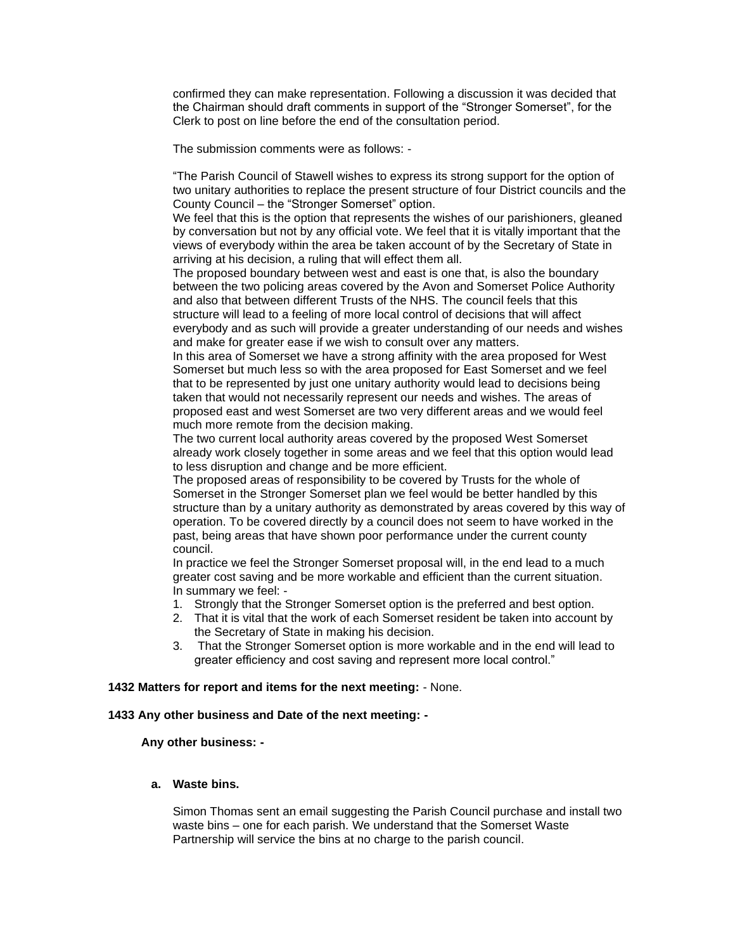confirmed they can make representation. Following a discussion it was decided that the Chairman should draft comments in support of the "Stronger Somerset", for the Clerk to post on line before the end of the consultation period.

The submission comments were as follows: -

"The Parish Council of Stawell wishes to express its strong support for the option of two unitary authorities to replace the present structure of four District councils and the County Council – the "Stronger Somerset" option.

We feel that this is the option that represents the wishes of our parishioners, gleaned by conversation but not by any official vote. We feel that it is vitally important that the views of everybody within the area be taken account of by the Secretary of State in arriving at his decision, a ruling that will effect them all.

The proposed boundary between west and east is one that, is also the boundary between the two policing areas covered by the Avon and Somerset Police Authority and also that between different Trusts of the NHS. The council feels that this structure will lead to a feeling of more local control of decisions that will affect everybody and as such will provide a greater understanding of our needs and wishes and make for greater ease if we wish to consult over any matters.

In this area of Somerset we have a strong affinity with the area proposed for West Somerset but much less so with the area proposed for East Somerset and we feel that to be represented by just one unitary authority would lead to decisions being taken that would not necessarily represent our needs and wishes. The areas of proposed east and west Somerset are two very different areas and we would feel much more remote from the decision making.

The two current local authority areas covered by the proposed West Somerset already work closely together in some areas and we feel that this option would lead to less disruption and change and be more efficient.

The proposed areas of responsibility to be covered by Trusts for the whole of Somerset in the Stronger Somerset plan we feel would be better handled by this structure than by a unitary authority as demonstrated by areas covered by this way of operation. To be covered directly by a council does not seem to have worked in the past, being areas that have shown poor performance under the current county council.

In practice we feel the Stronger Somerset proposal will, in the end lead to a much greater cost saving and be more workable and efficient than the current situation. In summary we feel: -

- 1. Strongly that the Stronger Somerset option is the preferred and best option.
- 2. That it is vital that the work of each Somerset resident be taken into account by the Secretary of State in making his decision.
- 3. That the Stronger Somerset option is more workable and in the end will lead to greater efficiency and cost saving and represent more local control."

# **1432 Matters for report and items for the next meeting:** - None.

#### **1433 Any other business and Date of the next meeting: -**

 **Any other business: -**

# **a. Waste bins.**

Simon Thomas sent an email suggesting the Parish Council purchase and install two waste bins – one for each parish. We understand that the Somerset Waste Partnership will service the bins at no charge to the parish council.